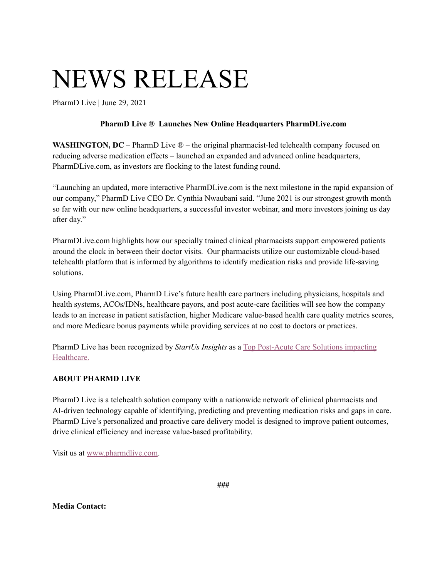## NEWS RELEASE

PharmD Live | June 29, 2021

## **PharmD Live ® Launches New Online Headquarters PharmDLive.com**

**WASHINGTON, DC** – PharmD Live ® – the original pharmacist-led telehealth company focused on reducing adverse medication effects – launched an expanded and advanced online headquarters, PharmDLive.com, as investors are flocking to the latest funding round.

"Launching an updated, more interactive PharmDLive.com is the next milestone in the rapid expansion of our company," PharmD Live CEO Dr. Cynthia Nwaubani said. "June 2021 is our strongest growth month so far with our new online headquarters, a successful investor webinar, and more investors joining us day after day."

PharmDLive.com highlights how our specially trained clinical pharmacists support empowered patients around the clock in between their doctor visits. Our pharmacists utilize our customizable cloud-based telehealth platform that is informed by algorithms to identify medication risks and provide life-saving solutions.

Using PharmDLive.com, PharmD Live's future health care partners including physicians, hospitals and health systems, ACOs/IDNs, healthcare payors, and post acute-care facilities will see how the company leads to an increase in patient satisfaction, higher Medicare value-based health care quality metrics scores, and more Medicare bonus payments while providing services at no cost to doctors or practices.

PharmD Live has been recognized by *StartUs Insights* as a Top [Post-Acute](https://www.startus-insights.com/innovators-guide/discover-5-top-post-acute-care-solutions-impacting-healthcare/) Care Solutions impacting [Healthcare.](https://www.startus-insights.com/innovators-guide/discover-5-top-post-acute-care-solutions-impacting-healthcare/)

## **ABOUT PHARMD LIVE**

PharmD Live is a telehealth solution company with a nationwide network of clinical pharmacists and AI-driven technology capable of identifying, predicting and preventing medication risks and gaps in care. PharmD Live's personalized and proactive care delivery model is designed to improve patient outcomes, drive clinical efficiency and increase value-based profitability.

Visit us at [www.pharmdlive.com](http://www.pharmdlive.com/).

**###**

**Media Contact:**